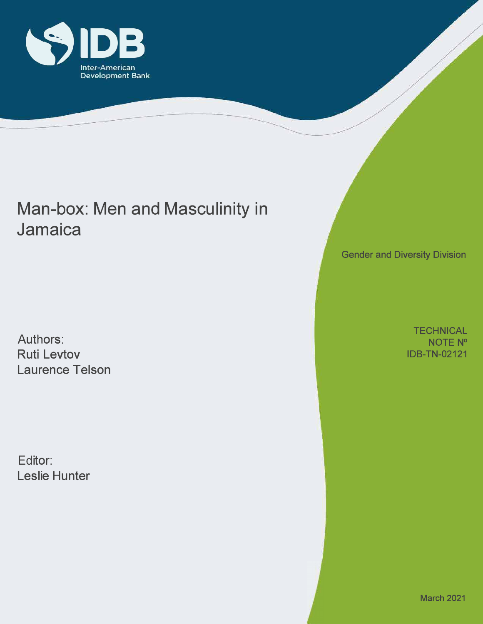

## Man-box: Men and Masculinity in Jamaica

Authors: Ruti Levtov Laurence Telson

Editor: Leslie Hunter Gender and Diversity Division

**TECHNICAL** NOTE N ° IDB-TN-02121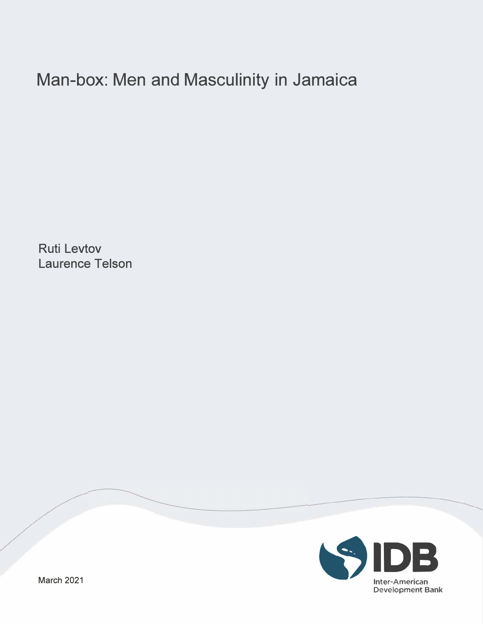# Man-box: Men and Masculinity in Jamaica

Ruti Levtov Laurence Telson

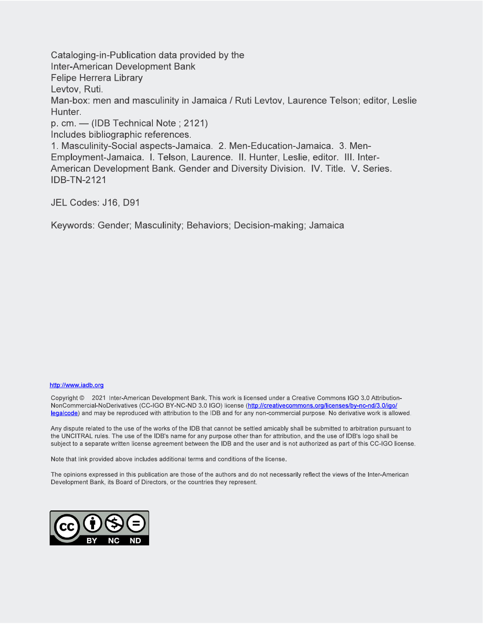Cataloging-in-Publication data provided by the **Inter-American Development Bank Felipe Herrera Library** Levtov, Ruti. Man-box: men and masculinity in Jamaica / Ruti Levtov, Laurence Telson; editor, Leslie Hunter. p. cm.  $-$  (IDB Technical Note; 2121) Includes bibliographic references. 1. Masculinity-Social aspects-Jamaica. 2. Men-Education-Jamaica. 3. Men-Employment-Jamaica. I. Telson, Laurence. II. Hunter, Leslie, editor. III. Inter-American Development Bank, Gender and Diversity Division. IV. Title. V. Series. **IDB-TN-2121** 

JEL Codes: J16, D91

Keywords: Gender; Masculinity; Behaviors; Decision-making; Jamaica

#### http://www.iadb.org

Copyright © 2021 Inter-American Development Bank, This work is licensed under a Creative Commons IGO 3.0 Attribution-NonCommercial-NoDerivatives (CC-IGO BY-NC-ND 3.0 IGO) license (http://creativecommons.org/licenses/by-nc-nd/3.0/igo/ legalcode) and may be reproduced with attribution to the IDB and for any non-commercial purpose. No derivative work is allowed.

Any dispute related to the use of the works of the IDB that cannot be settled amicably shall be submitted to arbitration pursuant to the UNCITRAL rules. The use of the IDB's name for any purpose other than for attribution, and the use of IDB's logo shall be subject to a separate written license agreement between the IDB and the user and is not authorized as part of this CC-IGO license.

Note that link provided above includes additional terms and conditions of the license.

The opinions expressed in this publication are those of the authors and do not necessarily reflect the views of the Inter-American Development Bank, its Board of Directors, or the countries they represent.

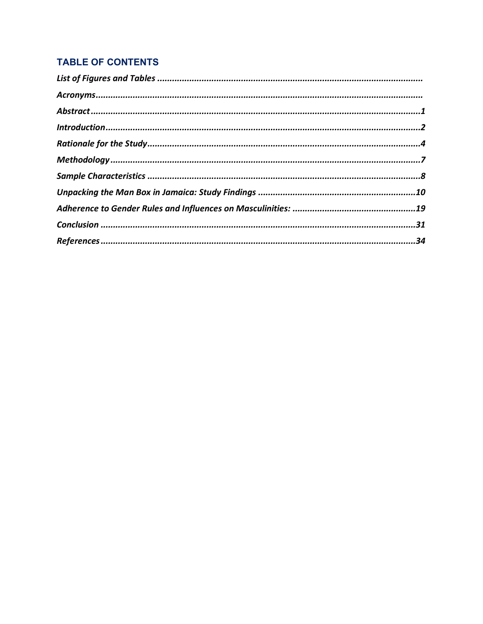## **TABLE OF CONTENTS**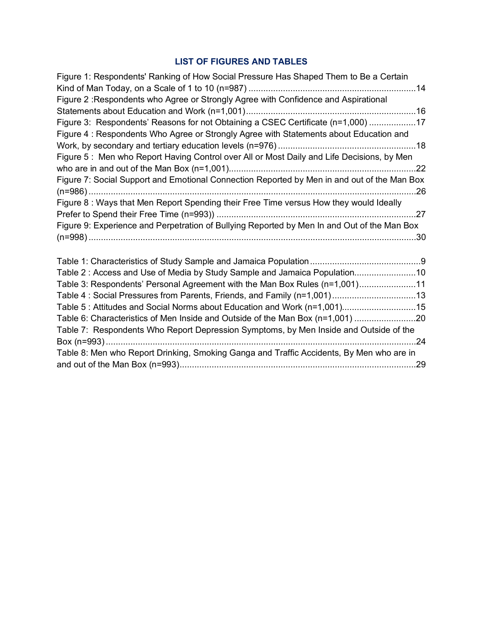## **LIST OF FIGURES AND TABLES**

<span id="page-4-0"></span>

| Figure 1: Respondents' Ranking of How Social Pressure Has Shaped Them to Be a Certain       |
|---------------------------------------------------------------------------------------------|
|                                                                                             |
| Figure 2: Respondents who Agree or Strongly Agree with Confidence and Aspirational          |
|                                                                                             |
| Figure 3: Respondents' Reasons for not Obtaining a CSEC Certificate (n=1,000) 17            |
| Figure 4: Respondents Who Agree or Strongly Agree with Statements about Education and       |
|                                                                                             |
| Figure 5: Men who Report Having Control over All or Most Daily and Life Decisions, by Men   |
|                                                                                             |
| Figure 7: Social Support and Emotional Connection Reported by Men in and out of the Man Box |
|                                                                                             |
| Figure 8: Ways that Men Report Spending their Free Time versus How they would Ideally       |
|                                                                                             |
| Figure 9: Experience and Perpetration of Bullying Reported by Men In and Out of the Man Box |
|                                                                                             |
|                                                                                             |
|                                                                                             |
| Table 2: Access and Use of Media by Study Sample and Jamaica Population10                   |
| Table 3: Respondents' Personal Agreement with the Man Box Rules (n=1,001)11                 |
| Table 4: Social Pressures from Parents, Friends, and Family (n=1,001)13                     |
| Table 5: Attitudes and Social Norms about Education and Work (n=1,001)15                    |
| Table 6: Characteristics of Men Inside and Outside of the Man Box (n=1,001) 20              |
| Table 7: Respondents Who Report Depression Symptoms, by Men Inside and Outside of the       |
|                                                                                             |
| Table 8: Men who Report Drinking, Smoking Ganga and Traffic Accidents, By Men who are in    |
|                                                                                             |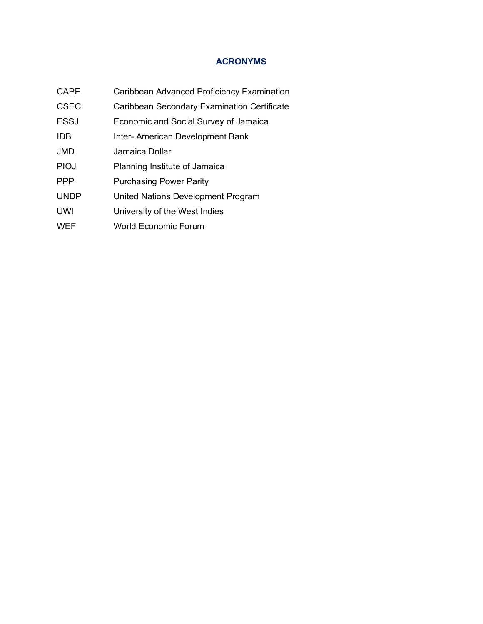## **ACRONYMS**

- <span id="page-5-0"></span>CAPE Caribbean Advanced Proficiency Examination
- CSEC Caribbean Secondary Examination Certificate
- ESSJ Economic and Social Survey of Jamaica
- IDB Inter- American Development Bank
- JMD Jamaica Dollar
- PIOJ Planning Institute of Jamaica
- PPP Purchasing Power Parity
- UNDP United Nations Development Program
- UWI University of the West Indies
- WEF World Economic Forum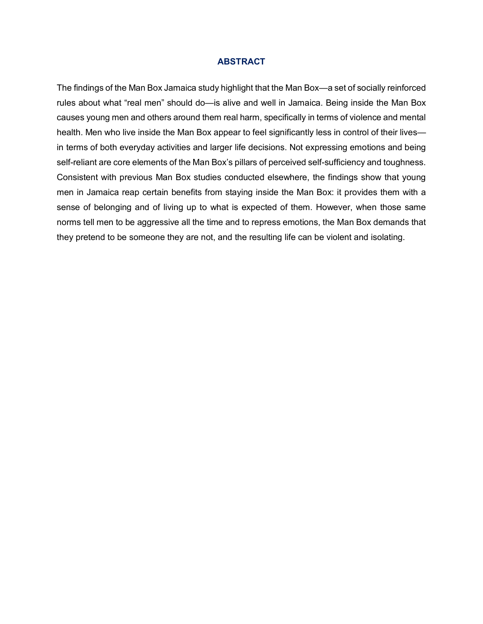#### **ABSTRACT**

<span id="page-6-0"></span>The findings of the Man Box Jamaica study highlight that the Man Box—a set of socially reinforced rules about what "real men" should do—is alive and well in Jamaica. Being inside the Man Box causes young men and others around them real harm, specifically in terms of violence and mental health. Men who live inside the Man Box appear to feel significantly less in control of their lives in terms of both everyday activities and larger life decisions. Not expressing emotions and being self-reliant are core elements of the Man Box's pillars of perceived self-sufficiency and toughness. Consistent with previous Man Box studies conducted elsewhere, the findings show that young men in Jamaica reap certain benefits from staying inside the Man Box: it provides them with a sense of belonging and of living up to what is expected of them. However, when those same norms tell men to be aggressive all the time and to repress emotions, the Man Box demands that they pretend to be someone they are not, and the resulting life can be violent and isolating.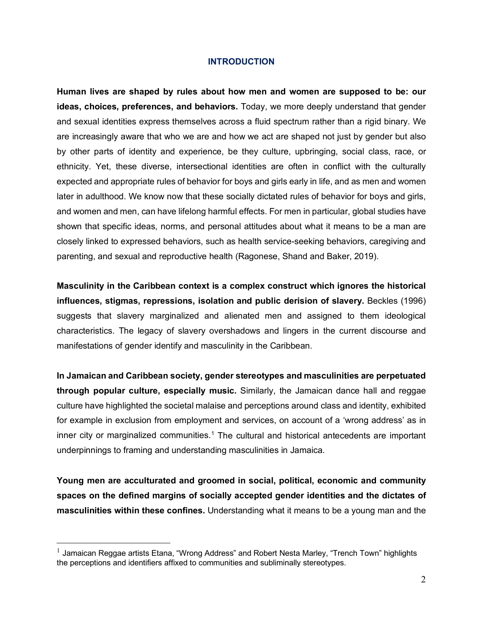#### **INTRODUCTION**

<span id="page-7-0"></span>**Human lives are shaped by rules about how men and women are supposed to be: our ideas, choices, preferences, and behaviors.** Today, we more deeply understand that gender and sexual identities express themselves across a fluid spectrum rather than a rigid binary. We are increasingly aware that who we are and how we act are shaped not just by gender but also by other parts of identity and experience, be they culture, upbringing, social class, race, or ethnicity. Yet, these diverse, intersectional identities are often in conflict with the culturally expected and appropriate rules of behavior for boys and girls early in life, and as men and women later in adulthood. We know now that these socially dictated rules of behavior for boys and girls, and women and men, can have lifelong harmful effects. For men in particular, global studies have shown that specific ideas, norms, and personal attitudes about what it means to be a man are closely linked to expressed behaviors, such as health service-seeking behaviors, caregiving and parenting, and sexual and reproductive health (Ragonese, Shand and Baker, 2019).

**Masculinity in the Caribbean context is a complex construct which ignores the historical influences, stigmas, repressions, isolation and public derision of slavery.** Beckles (1996) suggests that slavery marginalized and alienated men and assigned to them ideological characteristics. The legacy of slavery overshadows and lingers in the current discourse and manifestations of gender identify and masculinity in the Caribbean.

**In Jamaican and Caribbean society, gender stereotypes and masculinities are perpetuated through popular culture, especially music.** Similarly, the Jamaican dance hall and reggae culture have highlighted the societal malaise and perceptions around class and identity, exhibited for example in exclusion from employment and services, on account of a 'wrong address' as in inner city or marginalized communities.<sup>[1](#page-7-1)</sup> The cultural and historical antecedents are important underpinnings to framing and understanding masculinities in Jamaica.

**Young men are acculturated and groomed in social, political, economic and community spaces on the defined margins of socially accepted gender identities and the dictates of masculinities within these confines.** Understanding what it means to be a young man and the

<span id="page-7-1"></span> $<sup>1</sup>$  Jamaican Reggae artists Etana, "Wrong Address" and Robert Nesta Marley, "Trench Town" highlights</sup> the perceptions and identifiers affixed to communities and subliminally stereotypes.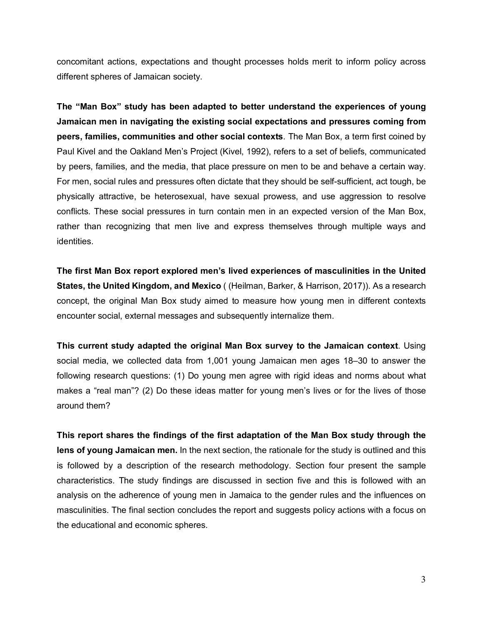concomitant actions, expectations and thought processes holds merit to inform policy across different spheres of Jamaican society.

**The "Man Box" study has been adapted to better understand the experiences of young Jamaican men in navigating the existing social expectations and pressures coming from peers, families, communities and other social contexts**. The Man Box, a term first coined by Paul Kivel and the Oakland Men's Project (Kivel, 1992), refers to a set of beliefs, communicated by peers, families, and the media, that place pressure on men to be and behave a certain way. For men, social rules and pressures often dictate that they should be self-sufficient, act tough, be physically attractive, be heterosexual, have sexual prowess, and use aggression to resolve conflicts. These social pressures in turn contain men in an expected version of the Man Box, rather than recognizing that men live and express themselves through multiple ways and identities.

**The first Man Box report explored men's lived experiences of masculinities in the United States, the United Kingdom, and Mexico** ( (Heilman, Barker, & Harrison, 2017)). As a research concept, the original Man Box study aimed to measure how young men in different contexts encounter social, external messages and subsequently internalize them.

**This current study adapted the original Man Box survey to the Jamaican context**. Using social media, we collected data from 1,001 young Jamaican men ages 18–30 to answer the following research questions: (1) Do young men agree with rigid ideas and norms about what makes a "real man"? (2) Do these ideas matter for young men's lives or for the lives of those around them?

**This report shares the findings of the first adaptation of the Man Box study through the lens of young Jamaican men.** In the next section, the rationale for the study is outlined and this is followed by a description of the research methodology. Section four present the sample characteristics. The study findings are discussed in section five and this is followed with an analysis on the adherence of young men in Jamaica to the gender rules and the influences on masculinities. The final section concludes the report and suggests policy actions with a focus on the educational and economic spheres.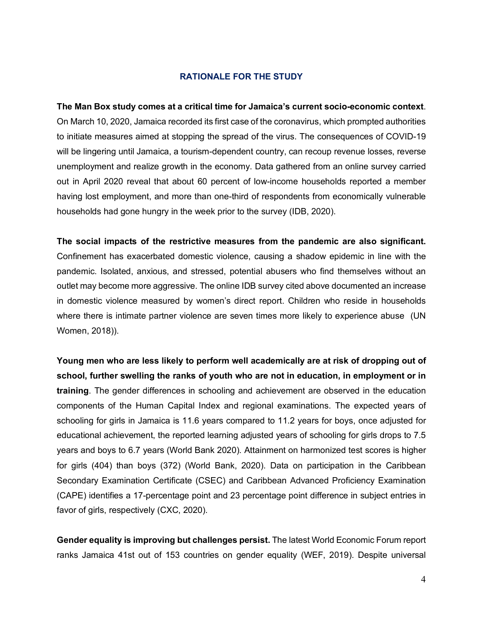#### **RATIONALE FOR THE STUDY**

<span id="page-9-0"></span>**The Man Box study comes at a critical time for Jamaica's current socio-economic context**. On March 10, 2020, Jamaica recorded its first case of the coronavirus, which prompted authorities to initiate measures aimed at stopping the spread of the virus. The consequences of COVID-19 will be lingering until Jamaica, a tourism-dependent country, can recoup revenue losses, reverse unemployment and realize growth in the economy. Data gathered from an online survey carried out in April 2020 reveal that about 60 percent of low-income households reported a member having lost employment, and more than one-third of respondents from economically vulnerable households had gone hungry in the week prior to the survey (IDB, 2020).

**The social impacts of the restrictive measures from the pandemic are also significant.** Confinement has exacerbated domestic violence, causing a shadow epidemic in line with the pandemic. Isolated, anxious, and stressed, potential abusers who find themselves without an outlet may become more aggressive. The online IDB survey cited above documented an increase in domestic violence measured by women's direct report. Children who reside in households where there is intimate partner violence are seven times more likely to experience abuse (UN Women, 2018)).

**Young men who are less likely to perform well academically are at risk of dropping out of school, further swelling the ranks of youth who are not in education, in employment or in training**. The gender differences in schooling and achievement are observed in the education components of the Human Capital Index and regional examinations. The expected years of schooling for girls in Jamaica is 11.6 years compared to 11.2 years for boys, once adjusted for educational achievement, the reported learning adjusted years of schooling for girls drops to 7.5 years and boys to 6.7 years (World Bank 2020). Attainment on harmonized test scores is higher for girls (404) than boys (372) (World Bank, 2020). Data on participation in the Caribbean Secondary Examination Certificate (CSEC) and Caribbean Advanced Proficiency Examination (CAPE) identifies a 17-percentage point and 23 percentage point difference in subject entries in favor of girls, respectively (CXC, 2020).

**Gender equality is improving but challenges persist.** The latest World Economic Forum report ranks Jamaica 41st out of 153 countries on gender equality (WEF, 2019). Despite universal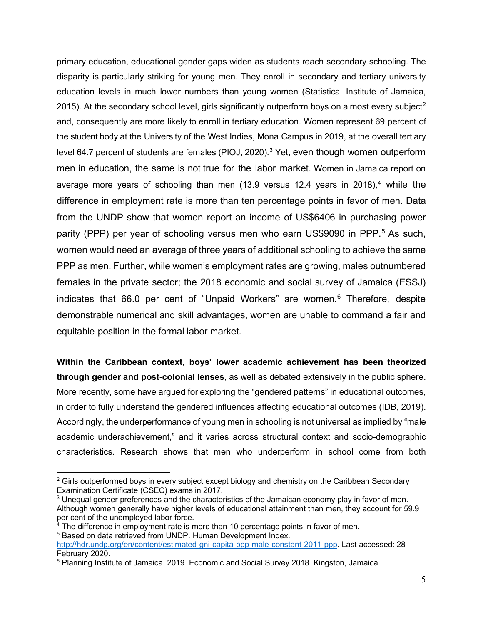primary education, educational gender gaps widen as students reach secondary schooling. The disparity is particularly striking for young men. They enroll in secondary and tertiary university education levels in much lower numbers than young women (Statistical Institute of Jamaica, [2](#page-10-0)015). At the secondary school level, girls significantly outperform boys on almost every subject<sup>2</sup> and, consequently are more likely to enroll in tertiary education. Women represent 69 percent of the student body at the University of the West Indies, Mona Campus in 2019, at the overall tertiary level 64.7 percent of students are females (PIOJ, 2020). [3](#page-10-1) Yet, even though women outperform men in education, the same is not true for the labor market. Women in Jamaica report on average more years of schooling than men (13.9 versus 12.4 years in 2018), [4](#page-10-2) while the difference in employment rate is more than ten percentage points in favor of men. Data from the UNDP show that women report an income of US\$6406 in purchasing power parity (PPP) per year of schooling versus men who earn US\$9090 in PPP. [5](#page-10-3) As such, women would need an average of three years of additional schooling to achieve the same PPP as men. Further, while women's employment rates are growing, males outnumbered females in the private sector; the 2018 economic and social survey of Jamaica (ESSJ) indicates that 66.0 per cent of "Unpaid Workers" are women. [6](#page-10-4) Therefore, despite demonstrable numerical and skill advantages, women are unable to command a fair and equitable position in the formal labor market.

**Within the Caribbean context, boys' lower academic achievement has been theorized through gender and post-colonial lenses**, as well as debated extensively in the public sphere. More recently, some have argued for exploring the "gendered patterns" in educational outcomes, in order to fully understand the gendered influences affecting educational outcomes (IDB, 2019). Accordingly, the underperformance of young men in schooling is not universal as implied by "male academic underachievement," and it varies across structural context and socio-demographic characteristics. Research shows that men who underperform in school come from both

<span id="page-10-0"></span><sup>&</sup>lt;sup>2</sup> Girls outperformed boys in every subject except biology and chemistry on the Caribbean Secondary Examination Certificate (CSEC) exams in 2017.

<span id="page-10-1"></span> $3$  Unequal gender preferences and the characteristics of the Jamaican economy play in favor of men. Although women generally have higher levels of educational attainment than men, they account for 59.9 per cent of the unemployed labor force.

<span id="page-10-3"></span><span id="page-10-2"></span> $4$  The difference in employment rate is more than 10 percentage points in favor of men. <sup>5</sup> Based on data retrieved from UNDP. Human Development Index.

[http://hdr.undp.org/en/content/estimated-gni-capita-ppp-male-constant-2011-ppp.](http://hdr.undp.org/en/content/estimated-gni-capita-ppp-male-constant-2011-ppp) Last accessed: 28 February 2020.

<span id="page-10-4"></span><sup>6</sup> Planning Institute of Jamaica. 2019. Economic and Social Survey 2018. Kingston, Jamaica.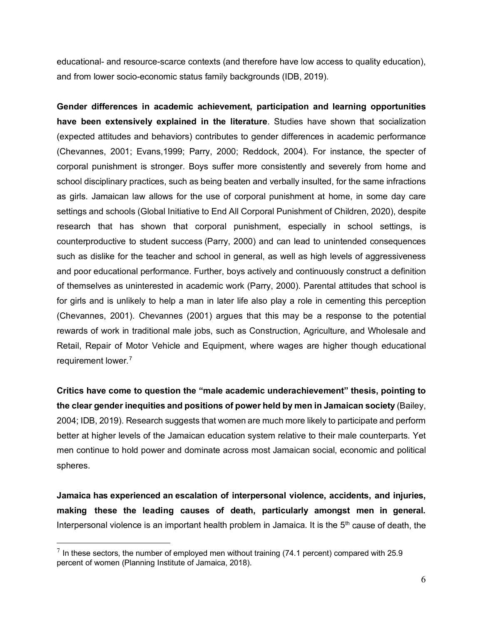educational- and resource-scarce contexts (and therefore have low access to quality education), and from lower socio-economic status family backgrounds (IDB, 2019).

**Gender differences in academic achievement, participation and learning opportunities have been extensively explained in the literature**. Studies have shown that socialization (expected attitudes and behaviors) contributes to gender differences in academic performance (Chevannes, 2001; Evans,1999; Parry, 2000; Reddock, 2004). For instance, the specter of corporal punishment is stronger. Boys suffer more consistently and severely from home and school disciplinary practices, such as being beaten and verbally insulted, for the same infractions as girls. Jamaican law allows for the use of corporal punishment at home, in some day care settings and schools (Global Initiative to End All Corporal Punishment of Children, 2020), despite research that has shown that corporal punishment, especially in school settings, is counterproductive to student success (Parry, 2000) and can lead to unintended consequences such as dislike for the teacher and school in general, as well as high levels of aggressiveness and poor educational performance. Further, boys actively and continuously construct a definition of themselves as uninterested in academic work (Parry, 2000). Parental attitudes that school is for girls and is unlikely to help a man in later life also play a role in cementing this perception (Chevannes, 2001). Chevannes (2001) argues that this may be a response to the potential rewards of work in traditional male jobs, such as Construction, Agriculture, and Wholesale and Retail, Repair of Motor Vehicle and Equipment, where wages are higher though educational requirement lower. [7](#page-11-0)

**Critics have come to question the "male academic underachievement" thesis, pointing to the clear gender inequities and positions of power held by men in Jamaican society** (Bailey, 2004; IDB, 2019). Research suggests that women are much more likely to participate and perform better at higher levels of the Jamaican education system relative to their male counterparts. Yet men continue to hold power and dominate across most Jamaican social, economic and political spheres.

**Jamaica has experienced an escalation of interpersonal violence, accidents, and injuries, making these the leading causes of death, particularly amongst men in general.** Interpersonal violence is an important health problem in Jamaica. It is the  $5<sup>th</sup>$  cause of death, the

<span id="page-11-0"></span> $^7$  In these sectors, the number of employed men without training (74.1 percent) compared with 25.9 percent of women (Planning Institute of Jamaica, 2018).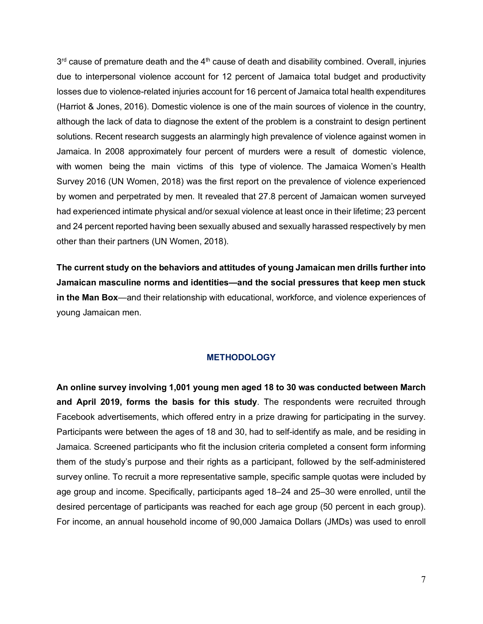$3<sup>rd</sup>$  cause of premature death and the  $4<sup>th</sup>$  cause of death and disability combined. Overall, injuries due to interpersonal violence account for 12 percent of Jamaica total budget and productivity losses due to violence-related injuries account for 16 percent of Jamaica total health expenditures (Harriot & Jones, 2016). Domestic violence is one of the main sources of violence in the country, although the lack of data to diagnose the extent of the problem is a constraint to design pertinent solutions. Recent research suggests an alarmingly high prevalence of violence against women in Jamaica. In 2008 approximately four percent of murders were a result of domestic violence, with women being the main victims of this type of violence. The Jamaica Women's Health Survey 2016 (UN Women, 2018) was the first report on the prevalence of violence experienced by women and perpetrated by men. It revealed that 27.8 percent of Jamaican women surveyed had experienced intimate physical and/or sexual violence at least once in their lifetime; 23 percent and 24 percent reported having been sexually abused and sexually harassed respectively by men other than their partners (UN Women, 2018).

**The current study on the behaviors and attitudes of young Jamaican men drills further into Jamaican masculine norms and identities—and the social pressures that keep men stuck in the Man Box**—and their relationship with educational, workforce, and violence experiences of young Jamaican men.

#### **METHODOLOGY**

<span id="page-12-0"></span>**An online survey involving 1,001 young men aged 18 to 30 was conducted between March and April 2019, forms the basis for this study**. The respondents were recruited through Facebook advertisements, which offered entry in a prize drawing for participating in the survey. Participants were between the ages of 18 and 30, had to self-identify as male, and be residing in Jamaica. Screened participants who fit the inclusion criteria completed a consent form informing them of the study's purpose and their rights as a participant, followed by the self-administered survey online. To recruit a more representative sample, specific sample quotas were included by age group and income. Specifically, participants aged 18–24 and 25–30 were enrolled, until the desired percentage of participants was reached for each age group (50 percent in each group). For income, an annual household income of 90,000 Jamaica Dollars (JMDs) was used to enroll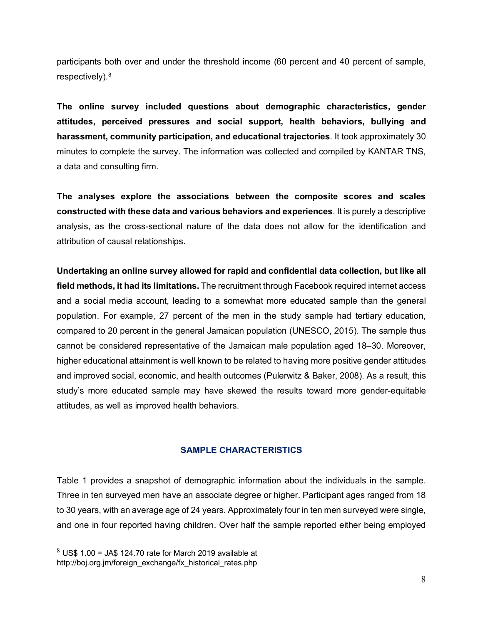participants both over and under the threshold income (60 percent and 40 percent of sample, respectively).<sup>[8](#page-13-1)</sup>

**The online survey included questions about demographic characteristics, gender attitudes, perceived pressures and social support, health behaviors, bullying and harassment, community participation, and educational trajectories**. It took approximately 30 minutes to complete the survey. The information was collected and compiled by KANTAR TNS, a data and consulting firm.

**The analyses explore the associations between the composite scores and scales constructed with these data and various behaviors and experiences**. It is purely a descriptive analysis, as the cross-sectional nature of the data does not allow for the identification and attribution of causal relationships.

**Undertaking an online survey allowed for rapid and confidential data collection, but like all field methods, it had its limitations.** The recruitment through Facebook required internet access and a social media account, leading to a somewhat more educated sample than the general population. For example, 27 percent of the men in the study sample had tertiary education, compared to 20 percent in the general Jamaican population (UNESCO, 2015). The sample thus cannot be considered representative of the Jamaican male population aged 18–30. Moreover, higher educational attainment is well known to be related to having more positive gender attitudes and improved social, economic, and health outcomes (Pulerwitz & Baker, 2008). As a result, this study's more educated sample may have skewed the results toward more gender-equitable attitudes, as well as improved health behaviors.

#### **SAMPLE CHARACTERISTICS**

<span id="page-13-0"></span>Table 1 provides a snapshot of demographic information about the individuals in the sample. Three in ten surveyed men have an associate degree or higher. Participant ages ranged from 18 to 30 years, with an average age of 24 years. Approximately four in ten men surveyed were single, and one in four reported having children. Over half the sample reported either being employed

<span id="page-13-1"></span> $8\,$  US\$ 1.00 = JA\$ 124.70 rate for March 2019 available at http://boj.org.jm/foreign\_exchange/fx\_historical\_rates.php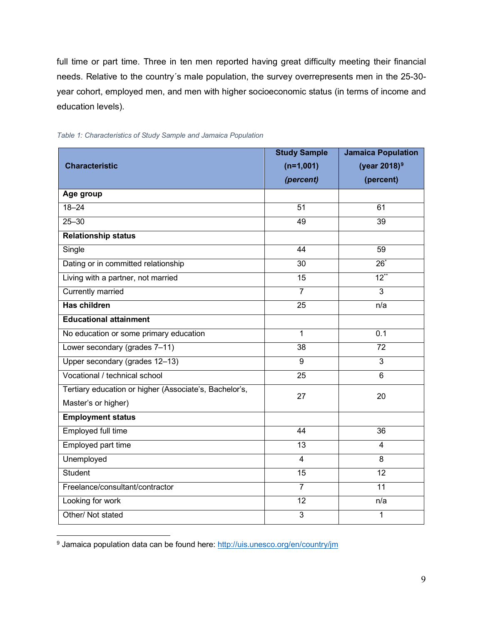full time or part time. Three in ten men reported having great difficulty meeting their financial needs. Relative to the country´s male population, the survey overrepresents men in the 25-30 year cohort, employed men, and men with higher socioeconomic status (in terms of income and education levels).

|                                                        | <b>Study Sample</b> | <b>Jamaica Population</b> |
|--------------------------------------------------------|---------------------|---------------------------|
| <b>Characteristic</b>                                  | $(n=1,001)$         | (year 2018) <sup>9</sup>  |
|                                                        | (percent)           | (percent)                 |
| Age group                                              |                     |                           |
| $18 - 24$                                              | $\overline{51}$     | 61                        |
| $25 - 30$                                              | 49                  | 39                        |
| <b>Relationship status</b>                             |                     |                           |
| Single                                                 | 44                  | 59                        |
| Dating or in committed relationship                    | 30                  | $\overline{26}^*$         |
| Living with a partner, not married                     | 15                  | $12***$                   |
| <b>Currently married</b>                               | $\overline{7}$      | $\overline{3}$            |
| <b>Has children</b>                                    | $\overline{25}$     | n/a                       |
| <b>Educational attainment</b>                          |                     |                           |
| No education or some primary education                 | 1                   | 0.1                       |
| Lower secondary (grades 7-11)                          | 38                  | $\overline{72}$           |
| Upper secondary (grades 12-13)                         | 9                   | 3                         |
| Vocational / technical school                          | 25                  | 6                         |
| Tertiary education or higher (Associate's, Bachelor's, | 27                  | 20                        |
| Master's or higher)                                    |                     |                           |
| <b>Employment status</b>                               |                     |                           |
| <b>Employed full time</b>                              | 44                  | 36                        |
| Employed part time                                     | 13                  | $\overline{4}$            |
| Unemployed                                             | $\overline{4}$      | 8                         |
| Student                                                | 15                  | 12                        |
| Freelance/consultant/contractor                        | $\overline{7}$      | 11                        |
| Looking for work                                       | 12                  | n/a                       |
| Other/ Not stated                                      | $\overline{3}$      | $\mathbf{1}$              |

<span id="page-14-0"></span>

<span id="page-14-1"></span><sup>9</sup> Jamaica population data can be found here:<http://uis.unesco.org/en/country/jm>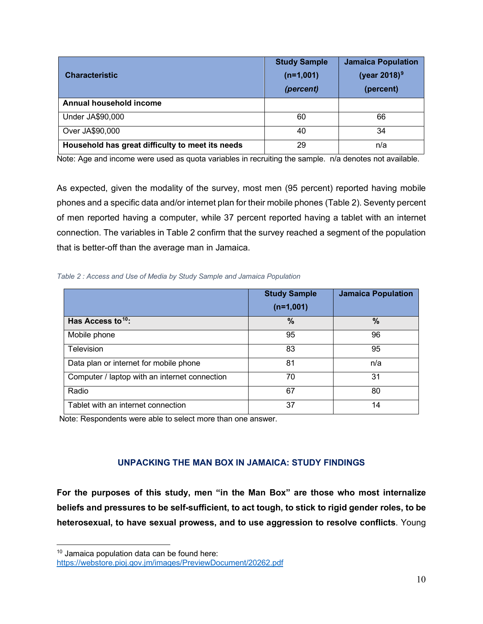| <b>Characteristic</b>                            | <b>Study Sample</b><br>$(n=1,001)$<br>(percent) | <b>Jamaica Population</b><br>(year 2018) <sup>9</sup><br>(percent) |
|--------------------------------------------------|-------------------------------------------------|--------------------------------------------------------------------|
| Annual household income                          |                                                 |                                                                    |
| Under JA\$90,000                                 | 60                                              | 66                                                                 |
| Over JA\$90,000                                  | 40                                              | 34                                                                 |
| Household has great difficulty to meet its needs | 29                                              | n/a                                                                |

Note: Age and income were used as quota variables in recruiting the sample. n/a denotes not available.

As expected, given the modality of the survey, most men (95 percent) reported having mobile phones and a specific data and/or internet plan for their mobile phones (Table 2). Seventy percent of men reported having a computer, while 37 percent reported having a tablet with an internet connection. The variables in Table 2 confirm that the survey reached a segment of the population that is better-off than the average man in Jamaica.

<span id="page-15-1"></span>*Table 2 : Access and Use of Media by Study Sample and Jamaica Population*

|                                               | <b>Study Sample</b><br>$(n=1,001)$ | <b>Jamaica Population</b> |
|-----------------------------------------------|------------------------------------|---------------------------|
| Has Access to <sup>10</sup> :                 | $\frac{0}{0}$                      | $\%$                      |
| Mobile phone                                  | 95                                 | 96                        |
| <b>Television</b>                             | 83                                 | 95                        |
| Data plan or internet for mobile phone        | 81                                 | n/a                       |
| Computer / laptop with an internet connection | 70                                 | 31                        |
| Radio                                         | 67                                 | 80                        |
| Tablet with an internet connection            | 37                                 | 14                        |

Note: Respondents were able to select more than one answer.

## **UNPACKING THE MAN BOX IN JAMAICA: STUDY FINDINGS**

<span id="page-15-0"></span>**For the purposes of this study, men "in the Man Box" are those who most internalize beliefs and pressures to be self-sufficient, to act tough, to stick to rigid gender roles, to be heterosexual, to have sexual prowess, and to use aggression to resolve conflicts**. Young

<span id="page-15-2"></span> $10$  Jamaica population data can be found here: <https://webstore.pioj.gov.jm/images/PreviewDocument/20262.pdf>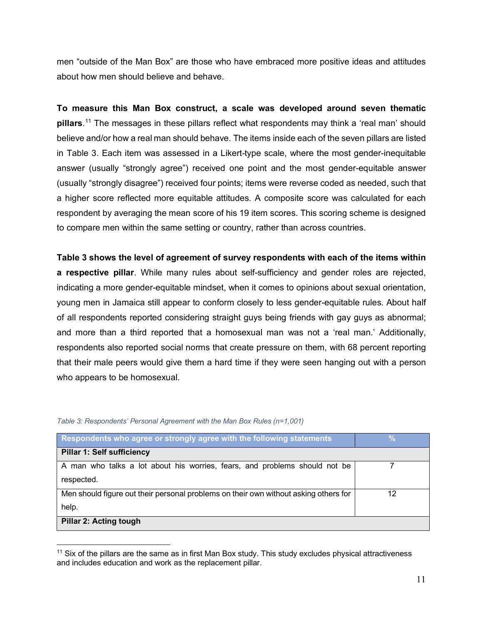men "outside of the Man Box" are those who have embraced more positive ideas and attitudes about how men should believe and behave.

**To measure this Man Box construct, a scale was developed around seven thematic pillars**. [11](#page-16-1) The messages in these pillars reflect what respondents may think a 'real man' should believe and/or how a real man should behave. The items inside each of the seven pillars are listed in Table 3. Each item was assessed in a Likert-type scale, where the most gender-inequitable answer (usually "strongly agree") received one point and the most gender-equitable answer (usually "strongly disagree") received four points; items were reverse coded as needed, such that a higher score reflected more equitable attitudes. A composite score was calculated for each respondent by averaging the mean score of his 19 item scores. This scoring scheme is designed to compare men within the same setting or country, rather than across countries.

**Table 3 shows the level of agreement of survey respondents with each of the items within a respective pillar**. While many rules about self-sufficiency and gender roles are rejected, indicating a more gender-equitable mindset, when it comes to opinions about sexual orientation, young men in Jamaica still appear to conform closely to less gender-equitable rules. About half of all respondents reported considering straight guys being friends with gay guys as abnormal; and more than a third reported that a homosexual man was not a 'real man.' Additionally, respondents also reported social norms that create pressure on them, with 68 percent reporting that their male peers would give them a hard time if they were seen hanging out with a person who appears to be homosexual.

| Respondents who agree or strongly agree with the following statements                |    |
|--------------------------------------------------------------------------------------|----|
| <b>Pillar 1: Self sufficiency</b>                                                    |    |
| A man who talks a lot about his worries, fears, and problems should not be           |    |
| respected.                                                                           |    |
| Men should figure out their personal problems on their own without asking others for | 12 |
| help.                                                                                |    |
| <b>Pillar 2: Acting tough</b>                                                        |    |

#### <span id="page-16-0"></span>*Table 3: Respondents' Personal Agreement with the Man Box Rules (n=1,001)*

<span id="page-16-1"></span> $11$  Six of the pillars are the same as in first Man Box study. This study excludes physical attractiveness and includes education and work as the replacement pillar.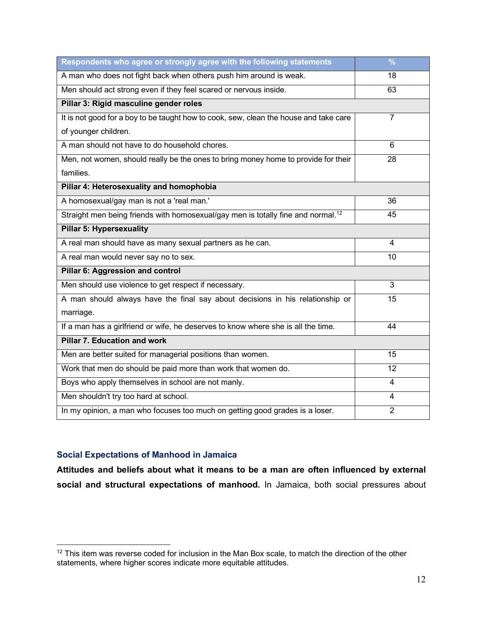| Respondents who agree or strongly agree with the following statements                        | $\frac{9}{6}$  |  |
|----------------------------------------------------------------------------------------------|----------------|--|
| A man who does not fight back when others push him around is weak.                           | 18             |  |
| Men should act strong even if they feel scared or nervous inside.                            | 63             |  |
| Pillar 3: Rigid masculine gender roles                                                       |                |  |
| It is not good for a boy to be taught how to cook, sew, clean the house and take care        | $\overline{7}$ |  |
| of younger children.                                                                         |                |  |
| A man should not have to do household chores.                                                | 6              |  |
| Men, not women, should really be the ones to bring money home to provide for their           | 28             |  |
| families.                                                                                    |                |  |
| Pillar 4: Heterosexuality and homophobia                                                     |                |  |
| A homosexual/gay man is not a 'real man.'                                                    | 36             |  |
| Straight men being friends with homosexual/gay men is totally fine and normal. <sup>12</sup> | 45             |  |
| <b>Pillar 5: Hypersexuality</b>                                                              |                |  |
| A real man should have as many sexual partners as he can.                                    | 4              |  |
| A real man would never say no to sex.                                                        | 10             |  |
| Pillar 6: Aggression and control                                                             |                |  |
| Men should use violence to get respect if necessary.                                         | 3              |  |
| A man should always have the final say about decisions in his relationship or                | 15             |  |
| marriage.                                                                                    |                |  |
| If a man has a girlfriend or wife, he deserves to know where she is all the time.            | 44             |  |
| Pillar 7. Education and work                                                                 |                |  |
| Men are better suited for managerial positions than women.                                   | 15             |  |
| Work that men do should be paid more than work that women do.                                | 12             |  |
| Boys who apply themselves in school are not manly.                                           | 4              |  |
| Men shouldn't try too hard at school.                                                        | 4              |  |
| In my opinion, a man who focuses too much on getting good grades is a loser.                 | $\overline{2}$ |  |

## **Social Expectations of Manhood in Jamaica**

**Attitudes and beliefs about what it means to be a man are often influenced by external social and structural expectations of manhood.** In Jamaica, both social pressures about

<span id="page-17-0"></span><sup>&</sup>lt;sup>12</sup> This item was reverse coded for inclusion in the Man Box scale, to match the direction of the other statements, where higher scores indicate more equitable attitudes.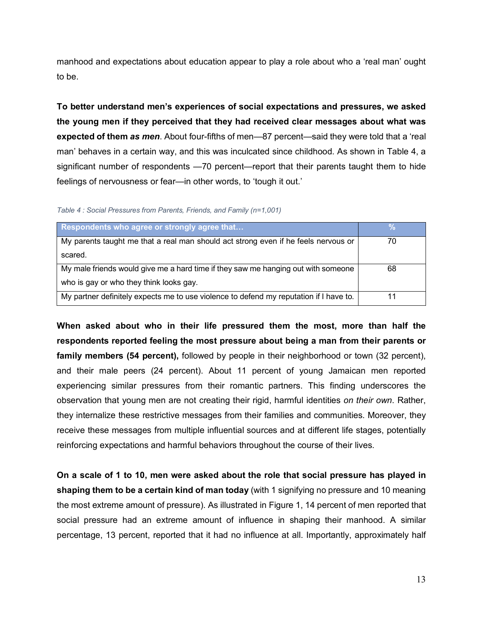manhood and expectations about education appear to play a role about who a 'real man' ought to be.

**To better understand men's experiences of social expectations and pressures, we asked the young men if they perceived that they had received clear messages about what was expected of them** *as men*. About four-fifths of men—87 percent—said they were told that a 'real man' behaves in a certain way, and this was inculcated since childhood. As shown in Table 4, a significant number of respondents —70 percent—report that their parents taught them to hide feelings of nervousness or fear—in other words, to 'tough it out.'

<span id="page-18-0"></span>*Table 4 : Social Pressures from Parents, Friends, and Family (n=1,001)*

| Respondents who agree or strongly agree that                                           |    |
|----------------------------------------------------------------------------------------|----|
| My parents taught me that a real man should act strong even if he feels nervous or     | 70 |
| scared.                                                                                |    |
| My male friends would give me a hard time if they saw me hanging out with someone      | 68 |
| who is gay or who they think looks gay.                                                |    |
| My partner definitely expects me to use violence to defend my reputation if I have to. |    |

**When asked about who in their life pressured them the most, more than half the respondents reported feeling the most pressure about being a man from their parents or family members (54 percent),** followed by people in their neighborhood or town (32 percent), and their male peers (24 percent). About 11 percent of young Jamaican men reported experiencing similar pressures from their romantic partners. This finding underscores the observation that young men are not creating their rigid, harmful identities *on their own*. Rather, they internalize these restrictive messages from their families and communities. Moreover, they receive these messages from multiple influential sources and at different life stages, potentially reinforcing expectations and harmful behaviors throughout the course of their lives.

**On a scale of 1 to 10, men were asked about the role that social pressure has played in shaping them to be a certain kind of man today** (with 1 signifying no pressure and 10 meaning the most extreme amount of pressure). As illustrated in Figure 1, 14 percent of men reported that social pressure had an extreme amount of influence in shaping their manhood. A similar percentage, 13 percent, reported that it had no influence at all. Importantly, approximately half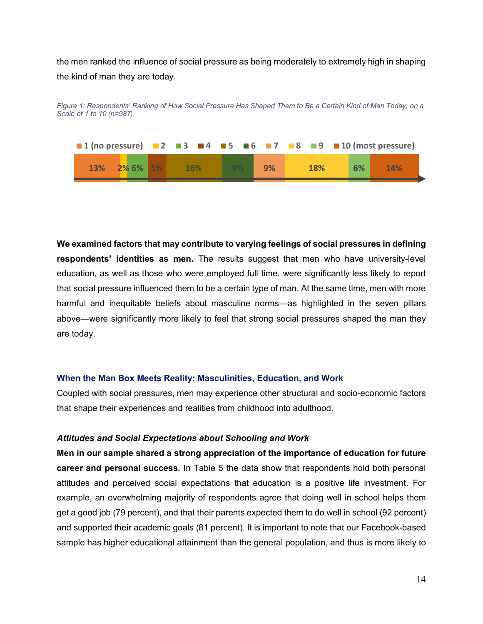the men ranked the influence of social pressure as being moderately to extremely high in shaping the kind of man they are today.



<span id="page-19-0"></span>*Figure 1: Respondents' Ranking of How Social Pressure Has Shaped Them to Be a Certain Kind of Man Today, on a Scale of 1 to 10 (n=987)*

**We examined factors that may contribute to varying feelings of social pressures in defining respondents' identities as men.** The results suggest that men who have university-level education, as well as those who were employed full time, were significantly less likely to report that social pressure influenced them to be a certain type of man. At the same time, men with more harmful and inequitable beliefs about masculine norms—as highlighted in the seven pillars above—were significantly more likely to feel that strong social pressures shaped the man they are today.

#### **When the Man Box Meets Reality: Masculinities, Education, and Work**

Coupled with social pressures, men may experience other structural and socio-economic factors that shape their experiences and realities from childhood into adulthood.

#### *Attitudes and Social Expectations about Schooling and Work*

**Men in our sample shared a strong appreciation of the importance of education for future career and personal success.** In Table 5 the data show that respondents hold both personal attitudes and perceived social expectations that education is a positive life investment. For example, an overwhelming majority of respondents agree that doing well in school helps them get a good job (79 percent), and that their parents expected them to do well in school (92 percent) and supported their academic goals (81 percent). It is important to note that our Facebook-based sample has higher educational attainment than the general population, and thus is more likely to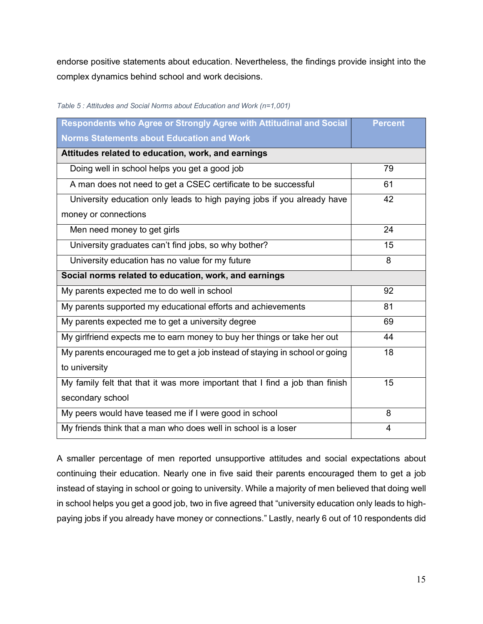endorse positive statements about education. Nevertheless, the findings provide insight into the complex dynamics behind school and work decisions.

| Respondents who Agree or Strongly Agree with Attitudinal and Social          | <b>Percent</b> |  |
|------------------------------------------------------------------------------|----------------|--|
| <b>Norms Statements about Education and Work</b>                             |                |  |
| Attitudes related to education, work, and earnings                           |                |  |
| Doing well in school helps you get a good job                                | 79             |  |
| A man does not need to get a CSEC certificate to be successful               | 61             |  |
| University education only leads to high paying jobs if you already have      | 42             |  |
| money or connections                                                         |                |  |
| Men need money to get girls                                                  | 24             |  |
| University graduates can't find jobs, so why bother?                         | 15             |  |
| University education has no value for my future                              | 8              |  |
| Social norms related to education, work, and earnings                        |                |  |
| My parents expected me to do well in school                                  | 92             |  |
| My parents supported my educational efforts and achievements                 | 81             |  |
| My parents expected me to get a university degree                            | 69             |  |
| My girlfriend expects me to earn money to buy her things or take her out     | 44             |  |
| My parents encouraged me to get a job instead of staying in school or going  | 18             |  |
| to university                                                                |                |  |
| My family felt that that it was more important that I find a job than finish | 15             |  |
| secondary school                                                             |                |  |
| My peers would have teased me if I were good in school                       | 8              |  |
| My friends think that a man who does well in school is a loser               | 4              |  |

<span id="page-20-0"></span>*Table 5 : Attitudes and Social Norms about Education and Work (n=1,001)*

A smaller percentage of men reported unsupportive attitudes and social expectations about continuing their education. Nearly one in five said their parents encouraged them to get a job instead of staying in school or going to university. While a majority of men believed that doing well in school helps you get a good job, two in five agreed that "university education only leads to highpaying jobs if you already have money or connections." Lastly, nearly 6 out of 10 respondents did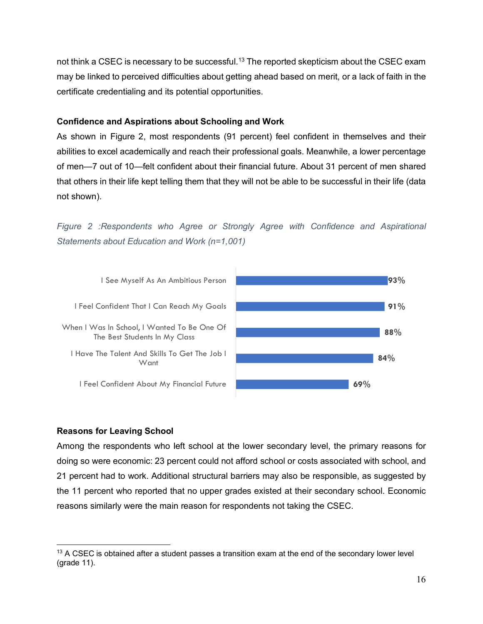not think a CSEC is necessary to be successful.<sup>13</sup> The reported skepticism about the CSEC exam may be linked to perceived difficulties about getting ahead based on merit, or a lack of faith in the certificate credentialing and its potential opportunities.

### **Confidence and Aspirations about Schooling and Work**

As shown in Figure 2, most respondents (91 percent) feel confident in themselves and their abilities to excel academically and reach their professional goals. Meanwhile, a lower percentage of men—7 out of 10—felt confident about their financial future. About 31 percent of men shared that others in their life kept telling them that they will not be able to be successful in their life (data not shown).

<span id="page-21-0"></span>*Figure 2 :Respondents who Agree or Strongly Agree with Confidence and Aspirational Statements about Education and Work (n=1,001)*



## **Reasons for Leaving School**

Among the respondents who left school at the lower secondary level, the primary reasons for doing so were economic: 23 percent could not afford school or costs associated with school, and 21 percent had to work. Additional structural barriers may also be responsible, as suggested by the 11 percent who reported that no upper grades existed at their secondary school. Economic reasons similarly were the main reason for respondents not taking the CSEC.

<span id="page-21-1"></span> $13$  A CSEC is obtained after a student passes a transition exam at the end of the secondary lower level (grade 11).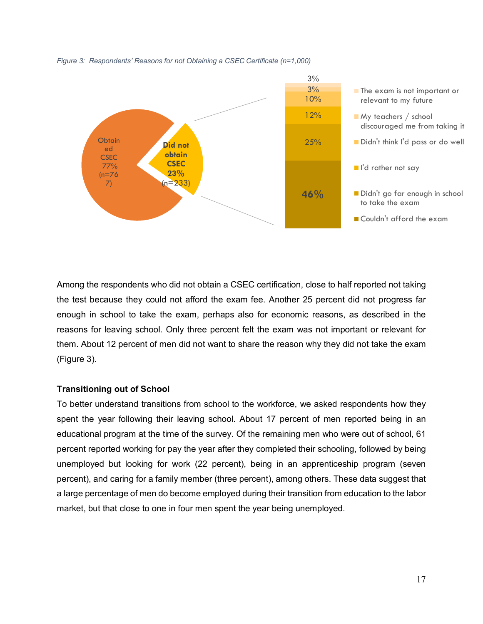<span id="page-22-0"></span>*Figure 3: Respondents' Reasons for not Obtaining a CSEC Certificate (n=1,000)*



Among the respondents who did not obtain a CSEC certification, close to half reported not taking the test because they could not afford the exam fee. Another 25 percent did not progress far enough in school to take the exam, perhaps also for economic reasons, as described in the reasons for leaving school. Only three percent felt the exam was not important or relevant for them. About 12 percent of men did not want to share the reason why they did not take the exam (Figure 3).

#### **Transitioning out of School**

To better understand transitions from school to the workforce, we asked respondents how they spent the year following their leaving school. About 17 percent of men reported being in an educational program at the time of the survey. Of the remaining men who were out of school, 61 percent reported working for pay the year after they completed their schooling, followed by being unemployed but looking for work (22 percent), being in an apprenticeship program (seven percent), and caring for a family member (three percent), among others. These data suggest that a large percentage of men do become employed during their transition from education to the labor market, but that close to one in four men spent the year being unemployed.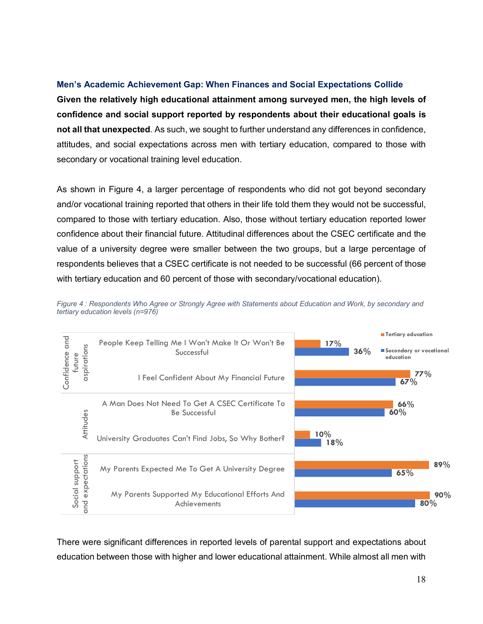#### **Men's Academic Achievement Gap: When Finances and Social Expectations Collide**

**Given the relatively high educational attainment among surveyed men, the high levels of confidence and social support reported by respondents about their educational goals is not all that unexpected**. As such, we sought to further understand any differences in confidence, attitudes, and social expectations across men with tertiary education, compared to those with secondary or vocational training level education.

As shown in Figure 4, a larger percentage of respondents who did not got beyond secondary and/or vocational training reported that others in their life told them they would not be successful, compared to those with tertiary education. Also, those without tertiary education reported lower confidence about their financial future. Attitudinal differences about the CSEC certificate and the value of a university degree were smaller between the two groups, but a large percentage of respondents believes that a CSEC certificate is not needed to be successful (66 percent of those with tertiary education and 60 percent of those with secondary/vocational education).



<span id="page-23-0"></span>*Figure 4 : Respondents Who Agree or Strongly Agree with Statements about Education and Work, by secondary and tertiary education levels (n=976)*

There were significant differences in reported levels of parental support and expectations about education between those with higher and lower educational attainment. While almost all men with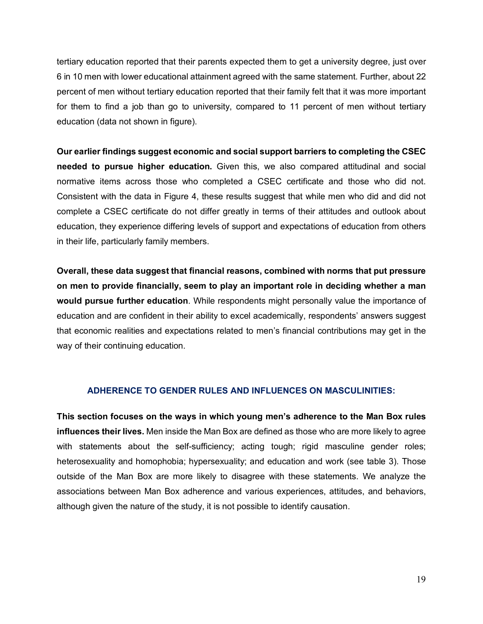tertiary education reported that their parents expected them to get a university degree, just over 6 in 10 men with lower educational attainment agreed with the same statement. Further, about 22 percent of men without tertiary education reported that their family felt that it was more important for them to find a job than go to university, compared to 11 percent of men without tertiary education (data not shown in figure).

**Our earlier findings suggest economic and social support barriers to completing the CSEC needed to pursue higher education.** Given this, we also compared attitudinal and social normative items across those who completed a CSEC certificate and those who did not. Consistent with the data in Figure 4, these results suggest that while men who did and did not complete a CSEC certificate do not differ greatly in terms of their attitudes and outlook about education, they experience differing levels of support and expectations of education from others in their life, particularly family members.

**Overall, these data suggest that financial reasons, combined with norms that put pressure on men to provide financially, seem to play an important role in deciding whether a man would pursue further education**. While respondents might personally value the importance of education and are confident in their ability to excel academically, respondents' answers suggest that economic realities and expectations related to men's financial contributions may get in the way of their continuing education.

#### **ADHERENCE TO GENDER RULES AND INFLUENCES ON MASCULINITIES:**

<span id="page-24-0"></span>**This section focuses on the ways in which young men's adherence to the Man Box rules influences their lives.** Men inside the Man Box are defined as those who are more likely to agree with statements about the self-sufficiency; acting tough; rigid masculine gender roles; heterosexuality and homophobia; hypersexuality; and education and work (see table 3). Those outside of the Man Box are more likely to disagree with these statements. We analyze the associations between Man Box adherence and various experiences, attitudes, and behaviors, although given the nature of the study, it is not possible to identify causation.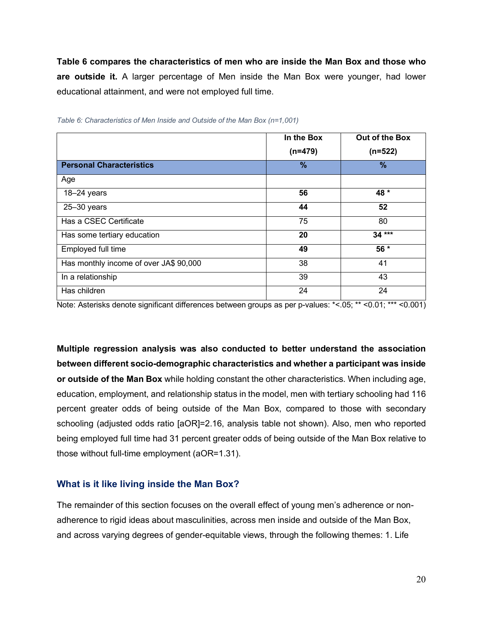**Table 6 compares the characteristics of men who are inside the Man Box and those who are outside it.** A larger percentage of Men inside the Man Box were younger, had lower educational attainment, and were not employed full time.

|                                        | In the Box | Out of the Box |
|----------------------------------------|------------|----------------|
|                                        | $(n=479)$  | $(n=522)$      |
| <b>Personal Characteristics</b>        | %          | $\%$           |
| Age                                    |            |                |
| 18-24 years                            | 56         | 48 *           |
| $25 - 30$ years                        | 44         | 52             |
| Has a CSEC Certificate                 | 75         | 80             |
| Has some tertiary education            | 20         | $34***$        |
| Employed full time                     | 49         | $56*$          |
| Has monthly income of over JA\$ 90,000 | 38         | 41             |
| In a relationship                      | 39         | 43             |
| Has children                           | 24         | 24             |

<span id="page-25-0"></span>*Table 6: Characteristics of Men Inside and Outside of the Man Box (n=1,001)*

Note: Asterisks denote significant differences between groups as per p-values: \*<.05; \*\* <0.01; \*\*\* <0.001)

**Multiple regression analysis was also conducted to better understand the association between different socio-demographic characteristics and whether a participant was inside or outside of the Man Box** while holding constant the other characteristics. When including age, education, employment, and relationship status in the model, men with tertiary schooling had 116 percent greater odds of being outside of the Man Box, compared to those with secondary schooling (adjusted odds ratio [aOR]=2.16, analysis table not shown). Also, men who reported being employed full time had 31 percent greater odds of being outside of the Man Box relative to those without full-time employment (aOR=1.31).

#### **What is it like living inside the Man Box?**

The remainder of this section focuses on the overall effect of young men's adherence or nonadherence to rigid ideas about masculinities, across men inside and outside of the Man Box, and across varying degrees of gender-equitable views, through the following themes: 1. Life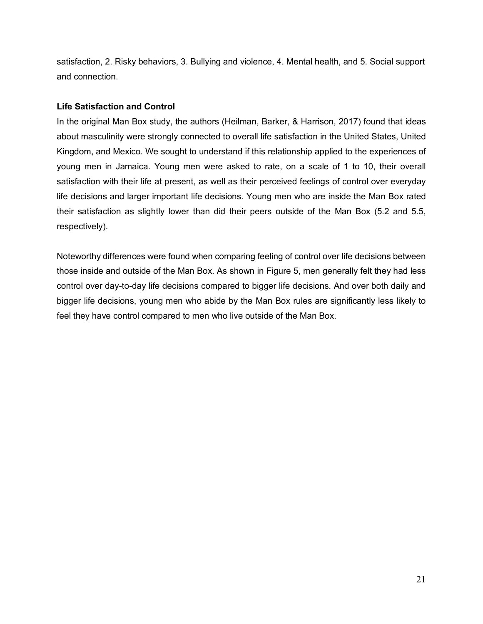satisfaction, 2. Risky behaviors, 3. Bullying and violence, 4. Mental health, and 5. Social support and connection.

### **Life Satisfaction and Control**

In the original Man Box study, the authors (Heilman, Barker, & Harrison, 2017) found that ideas about masculinity were strongly connected to overall life satisfaction in the United States, United Kingdom, and Mexico. We sought to understand if this relationship applied to the experiences of young men in Jamaica. Young men were asked to rate, on a scale of 1 to 10, their overall satisfaction with their life at present, as well as their perceived feelings of control over everyday life decisions and larger important life decisions. Young men who are inside the Man Box rated their satisfaction as slightly lower than did their peers outside of the Man Box (5.2 and 5.5, respectively).

Noteworthy differences were found when comparing feeling of control over life decisions between those inside and outside of the Man Box. As shown in Figure 5, men generally felt they had less control over day-to-day life decisions compared to bigger life decisions. And over both daily and bigger life decisions, young men who abide by the Man Box rules are significantly less likely to feel they have control compared to men who live outside of the Man Box.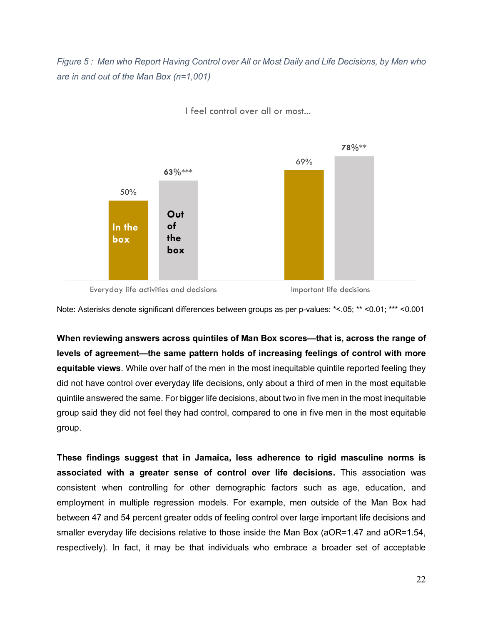<span id="page-27-0"></span>*Figure 5 : Men who Report Having Control over All or Most Daily and Life Decisions, by Men who are in and out of the Man Box (n=1,001)*



I feel control over all or most...

Everyday life activities and decisions **Important life decisions** 

Note: Asterisks denote significant differences between groups as per p-values: \*<.05; \*\* <0.01; \*\*\* <0.001

**When reviewing answers across quintiles of Man Box scores—that is, across the range of levels of agreement—the same pattern holds of increasing feelings of control with more equitable views**. While over half of the men in the most inequitable quintile reported feeling they did not have control over everyday life decisions, only about a third of men in the most equitable quintile answered the same. For bigger life decisions, about two in five men in the most inequitable group said they did not feel they had control, compared to one in five men in the most equitable group.

**These findings suggest that in Jamaica, less adherence to rigid masculine norms is associated with a greater sense of control over life decisions.** This association was consistent when controlling for other demographic factors such as age, education, and employment in multiple regression models. For example, men outside of the Man Box had between 47 and 54 percent greater odds of feeling control over large important life decisions and smaller everyday life decisions relative to those inside the Man Box (aOR=1.47 and aOR=1.54, respectively). In fact, it may be that individuals who embrace a broader set of acceptable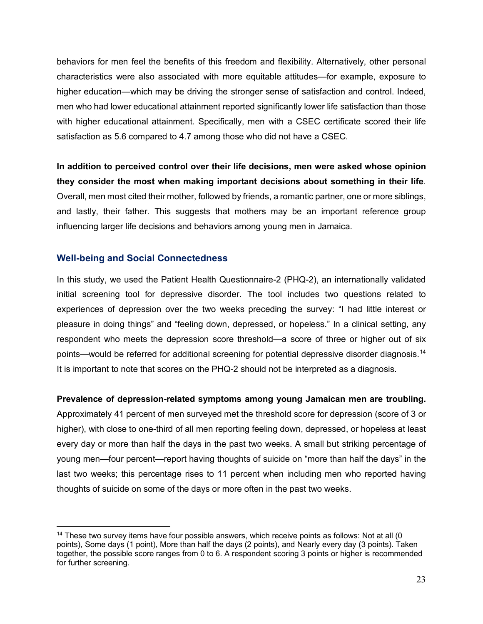behaviors for men feel the benefits of this freedom and flexibility. Alternatively, other personal characteristics were also associated with more equitable attitudes—for example, exposure to higher education—which may be driving the stronger sense of satisfaction and control. Indeed, men who had lower educational attainment reported significantly lower life satisfaction than those with higher educational attainment. Specifically, men with a CSEC certificate scored their life satisfaction as 5.6 compared to 4.7 among those who did not have a CSEC.

**In addition to perceived control over their life decisions, men were asked whose opinion they consider the most when making important decisions about something in their life**. Overall, men most cited their mother, followed by friends, a romantic partner, one or more siblings, and lastly, their father. This suggests that mothers may be an important reference group influencing larger life decisions and behaviors among young men in Jamaica.

### **Well-being and Social Connectedness**

In this study, we used the Patient Health Questionnaire-2 (PHQ-2), an internationally validated initial screening tool for depressive disorder. The tool includes two questions related to experiences of depression over the two weeks preceding the survey: "I had little interest or pleasure in doing things" and "feeling down, depressed, or hopeless." In a clinical setting, any respondent who meets the depression score threshold—a score of three or higher out of six points—would be referred for additional screening for potential depressive disorder diagnosis.[14](#page-28-0) It is important to note that scores on the PHQ-2 should not be interpreted as a diagnosis.

#### **Prevalence of depression-related symptoms among young Jamaican men are troubling.**

Approximately 41 percent of men surveyed met the threshold score for depression (score of 3 or higher), with close to one-third of all men reporting feeling down, depressed, or hopeless at least every day or more than half the days in the past two weeks. A small but striking percentage of young men—four percent—report having thoughts of suicide on "more than half the days" in the last two weeks; this percentage rises to 11 percent when including men who reported having thoughts of suicide on some of the days or more often in the past two weeks.

<span id="page-28-0"></span> $14$  These two survey items have four possible answers, which receive points as follows: Not at all (0 points), Some days (1 point), More than half the days (2 points), and Nearly every day (3 points). Taken together, the possible score ranges from 0 to 6. A respondent scoring 3 points or higher is recommended for further screening.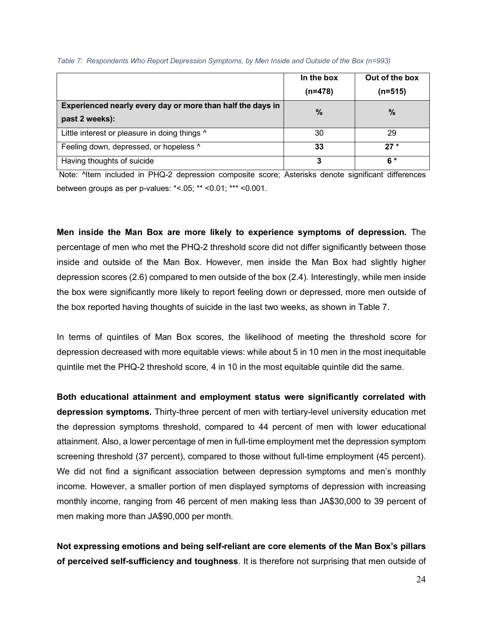|                                                                              | In the box<br>$(n=478)$ | Out of the box<br>$(n=515)$ |
|------------------------------------------------------------------------------|-------------------------|-----------------------------|
| Experienced nearly every day or more than half the days in<br>past 2 weeks): | $\frac{0}{0}$           | $\%$                        |
| Little interest or pleasure in doing things ^                                | 30                      | 29                          |
| Feeling down, depressed, or hopeless ^                                       | 33                      | $27*$                       |
| Having thoughts of suicide                                                   | 3                       | 6 *                         |

<span id="page-29-0"></span>*Table 7: Respondents Who Report Depression Symptoms, by Men Inside and Outside of the Box (n=993)*

Note: ^Item included in PHQ-2 depression composite score; Asterisks denote significant differences between groups as per p-values: \*<.05; \*\* <0.01; \*\*\* <0.001.

**Men inside the Man Box are more likely to experience symptoms of depression.** The percentage of men who met the PHQ-2 threshold score did not differ significantly between those inside and outside of the Man Box. However, men inside the Man Box had slightly higher depression scores (2.6) compared to men outside of the box (2.4). Interestingly, while men inside the box were significantly more likely to report feeling down or depressed, more men outside of the box reported having thoughts of suicide in the last two weeks, as shown in Table 7.

In terms of quintiles of Man Box scores, the likelihood of meeting the threshold score for depression decreased with more equitable views: while about 5 in 10 men in the most inequitable quintile met the PHQ-2 threshold score, 4 in 10 in the most equitable quintile did the same.

**Both educational attainment and employment status were significantly correlated with depression symptoms.** Thirty-three percent of men with tertiary-level university education met the depression symptoms threshold, compared to 44 percent of men with lower educational attainment. Also, a lower percentage of men in full-time employment met the depression symptom screening threshold (37 percent), compared to those without full-time employment (45 percent). We did not find a significant association between depression symptoms and men's monthly income. However, a smaller portion of men displayed symptoms of depression with increasing monthly income, ranging from 46 percent of men making less than JA\$30,000 to 39 percent of men making more than JA\$90,000 per month.

**Not expressing emotions and being self-reliant are core elements of the Man Box's pillars of perceived self-sufficiency and toughness**. It is therefore not surprising that men outside of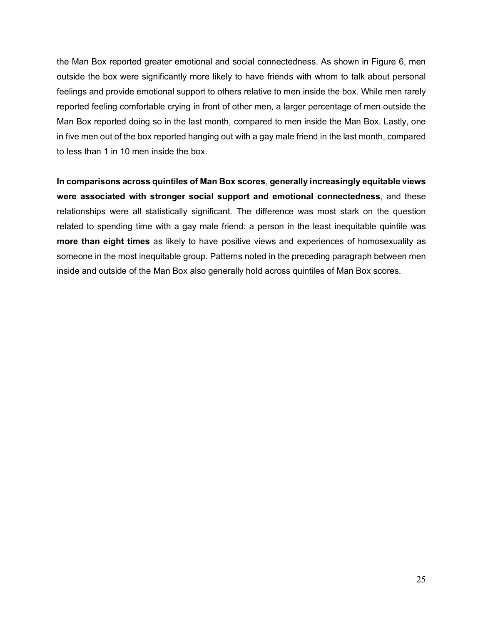the Man Box reported greater emotional and social connectedness. As shown in Figure 6, men outside the box were significantly more likely to have friends with whom to talk about personal feelings and provide emotional support to others relative to men inside the box. While men rarely reported feeling comfortable crying in front of other men, a larger percentage of men outside the Man Box reported doing so in the last month, compared to men inside the Man Box. Lastly, one in five men out of the box reported hanging out with a gay male friend in the last month, compared to less than 1 in 10 men inside the box.

**In comparisons across quintiles of Man Box scores**, **generally increasingly equitable views were associated with stronger social support and emotional connectedness**, and these relationships were all statistically significant. The difference was most stark on the question related to spending time with a gay male friend: a person in the least inequitable quintile was **more than eight times** as likely to have positive views and experiences of homosexuality as someone in the most inequitable group. Patterns noted in the preceding paragraph between men inside and outside of the Man Box also generally hold across quintiles of Man Box scores.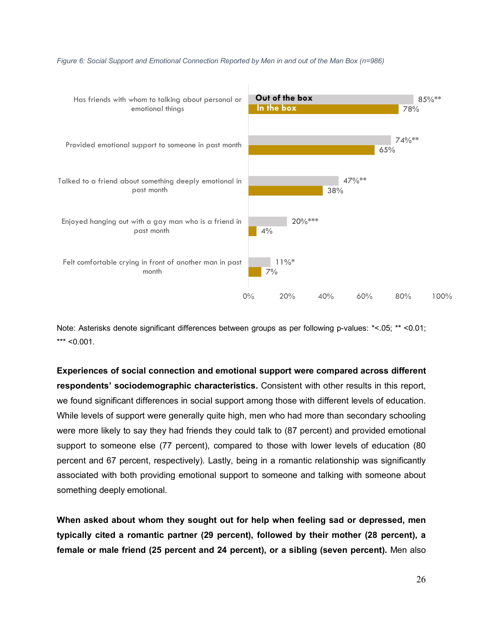

#### <span id="page-31-0"></span>*Figure 6: Social Support and Emotional Connection Reported by Men in and out of the Man Box (n=986)*

Note: Asterisks denote significant differences between groups as per following p-values: \*<.05; \*\* <0.01;  $***$  <0.001.

**Experiences of social connection and emotional support were compared across different respondents' sociodemographic characteristics.** Consistent with other results in this report, we found significant differences in social support among those with different levels of education. While levels of support were generally quite high, men who had more than secondary schooling were more likely to say they had friends they could talk to (87 percent) and provided emotional support to someone else (77 percent), compared to those with lower levels of education (80 percent and 67 percent, respectively). Lastly, being in a romantic relationship was significantly associated with both providing emotional support to someone and talking with someone about something deeply emotional.

**When asked about whom they sought out for help when feeling sad or depressed, men typically cited a romantic partner (29 percent), followed by their mother (28 percent), a female or male friend (25 percent and 24 percent), or a sibling (seven percent).** Men also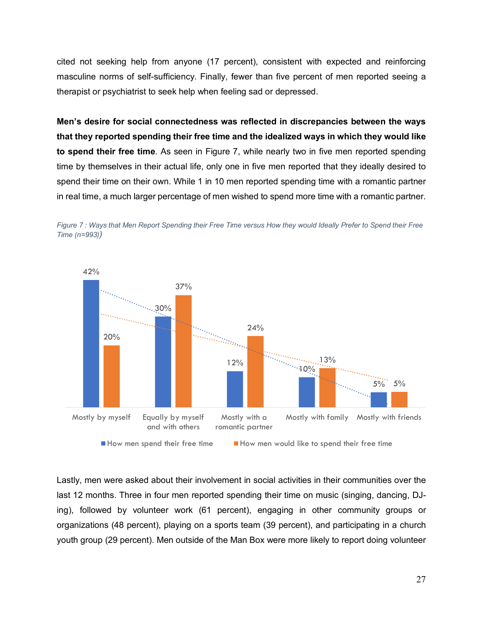cited not seeking help from anyone (17 percent), consistent with expected and reinforcing masculine norms of self-sufficiency. Finally, fewer than five percent of men reported seeing a therapist or psychiatrist to seek help when feeling sad or depressed.

**Men's desire for social connectedness was reflected in discrepancies between the ways that they reported spending their free time and the idealized ways in which they would like to spend their free time**. As seen in Figure 7, while nearly two in five men reported spending time by themselves in their actual life, only one in five men reported that they ideally desired to spend their time on their own. While 1 in 10 men reported spending time with a romantic partner in real time, a much larger percentage of men wished to spend more time with a romantic partner.



<span id="page-32-0"></span>

Lastly, men were asked about their involvement in social activities in their communities over the last 12 months. Three in four men reported spending their time on music (singing, dancing, DJing), followed by volunteer work (61 percent), engaging in other community groups or organizations (48 percent), playing on a sports team (39 percent), and participating in a church youth group (29 percent). Men outside of the Man Box were more likely to report doing volunteer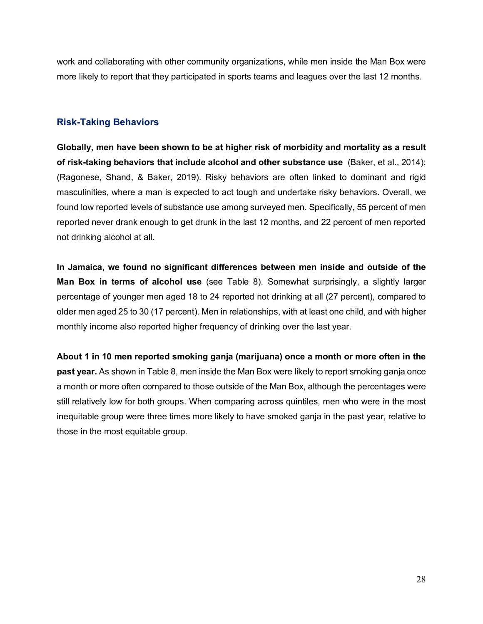work and collaborating with other community organizations, while men inside the Man Box were more likely to report that they participated in sports teams and leagues over the last 12 months.

## **Risk-Taking Behaviors**

**Globally, men have been shown to be at higher risk of morbidity and mortality as a result of risk-taking behaviors that include alcohol and other substance use** (Baker, et al., 2014); (Ragonese, Shand, & Baker, 2019). Risky behaviors are often linked to dominant and rigid masculinities, where a man is expected to act tough and undertake risky behaviors. Overall, we found low reported levels of substance use among surveyed men. Specifically, 55 percent of men reported never drank enough to get drunk in the last 12 months, and 22 percent of men reported not drinking alcohol at all.

**In Jamaica, we found no significant differences between men inside and outside of the Man Box in terms of alcohol use** (see Table 8). Somewhat surprisingly, a slightly larger percentage of younger men aged 18 to 24 reported not drinking at all (27 percent), compared to older men aged 25 to 30 (17 percent). Men in relationships, with at least one child, and with higher monthly income also reported higher frequency of drinking over the last year.

**About 1 in 10 men reported smoking ganja (marijuana) once a month or more often in the past year.** As shown in Table 8, men inside the Man Box were likely to report smoking ganja once a month or more often compared to those outside of the Man Box, although the percentages were still relatively low for both groups. When comparing across quintiles, men who were in the most inequitable group were three times more likely to have smoked ganja in the past year, relative to those in the most equitable group.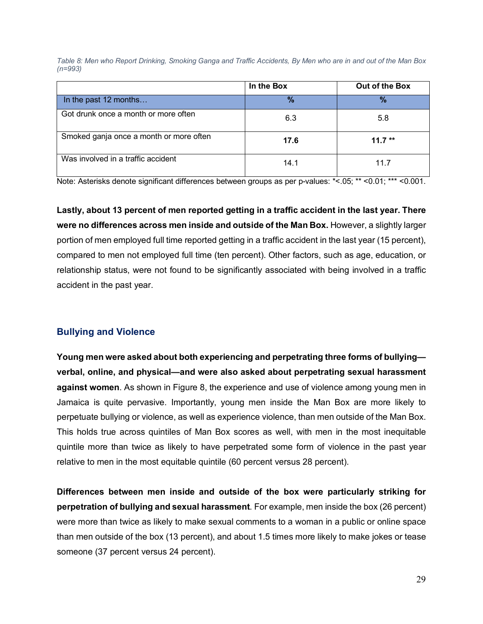<span id="page-34-0"></span>*Table 8: Men who Report Drinking, Smoking Ganga and Traffic Accidents, By Men who are in and out of the Man Box (n=993)*

|                                         | In the Box    | Out of the Box |
|-----------------------------------------|---------------|----------------|
| In the past 12 months                   | $\frac{9}{6}$ | $\frac{9}{6}$  |
| Got drunk once a month or more often    | 6.3           | 5.8            |
| Smoked ganja once a month or more often | 17.6          | $11.7**$       |
| Was involved in a traffic accident      | 14.1          | 11 7           |

Note: Asterisks denote significant differences between groups as per p-values: \*<.05; \*\* <0.01; \*\*\* <0.001.

**Lastly, about 13 percent of men reported getting in a traffic accident in the last year. There were no differences across men inside and outside of the Man Box.** However, a slightly larger portion of men employed full time reported getting in a traffic accident in the last year (15 percent), compared to men not employed full time (ten percent). Other factors, such as age, education, or relationship status, were not found to be significantly associated with being involved in a traffic accident in the past year.

## **Bullying and Violence**

**Young men were asked about both experiencing and perpetrating three forms of bullying verbal, online, and physical—and were also asked about perpetrating sexual harassment against women**. As shown in Figure 8, the experience and use of violence among young men in Jamaica is quite pervasive. Importantly, young men inside the Man Box are more likely to perpetuate bullying or violence, as well as experience violence, than men outside of the Man Box. This holds true across quintiles of Man Box scores as well, with men in the most inequitable quintile more than twice as likely to have perpetrated some form of violence in the past year relative to men in the most equitable quintile (60 percent versus 28 percent).

**Differences between men inside and outside of the box were particularly striking for perpetration of bullying and sexual harassment**. For example, men inside the box (26 percent) were more than twice as likely to make sexual comments to a woman in a public or online space than men outside of the box (13 percent), and about 1.5 times more likely to make jokes or tease someone (37 percent versus 24 percent).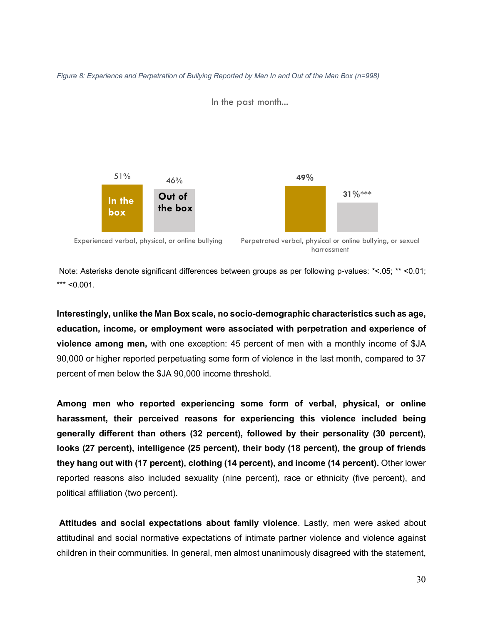<span id="page-35-0"></span>



In the past month...

Note: Asterisks denote significant differences between groups as per following p-values: \*<.05; \*\* <0.01;  $***$  <0.001.

harrassment

**Interestingly, unlike the Man Box scale, no socio-demographic characteristics such as age, education, income, or employment were associated with perpetration and experience of violence among men,** with one exception: 45 percent of men with a monthly income of \$JA 90,000 or higher reported perpetuating some form of violence in the last month, compared to 37 percent of men below the \$JA 90,000 income threshold.

**Among men who reported experiencing some form of verbal, physical, or online harassment, their perceived reasons for experiencing this violence included being generally different than others (32 percent), followed by their personality (30 percent), looks (27 percent), intelligence (25 percent), their body (18 percent), the group of friends they hang out with (17 percent), clothing (14 percent), and income (14 percent).** Other lower reported reasons also included sexuality (nine percent), race or ethnicity (five percent), and political affiliation (two percent).

**Attitudes and social expectations about family violence**. Lastly, men were asked about attitudinal and social normative expectations of intimate partner violence and violence against children in their communities. In general, men almost unanimously disagreed with the statement,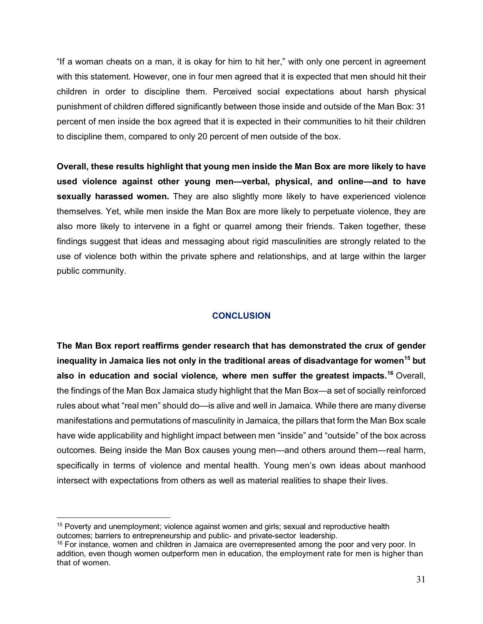"If a woman cheats on a man, it is okay for him to hit her," with only one percent in agreement with this statement. However, one in four men agreed that it is expected that men should hit their children in order to discipline them. Perceived social expectations about harsh physical punishment of children differed significantly between those inside and outside of the Man Box: 31 percent of men inside the box agreed that it is expected in their communities to hit their children to discipline them, compared to only 20 percent of men outside of the box.

**Overall, these results highlight that young men inside the Man Box are more likely to have used violence against other young men—verbal, physical, and online—and to have sexually harassed women.** They are also slightly more likely to have experienced violence themselves. Yet, while men inside the Man Box are more likely to perpetuate violence, they are also more likely to intervene in a fight or quarrel among their friends. Taken together, these findings suggest that ideas and messaging about rigid masculinities are strongly related to the use of violence both within the private sphere and relationships, and at large within the larger public community.

## **CONCLUSION**

<span id="page-36-0"></span>**The Man Box report reaffirms gender research that has demonstrated the crux of gender inequality in Jamaica lies not only in the traditional areas of disadvantage for women[15](#page-36-1) but also in education and social violence, where men suffer the greatest impacts.[16](#page-36-2)** Overall, the findings of the Man Box Jamaica study highlight that the Man Box—a set of socially reinforced rules about what "real men" should do—is alive and well in Jamaica. While there are many diverse manifestations and permutations of masculinity in Jamaica, the pillars that form the Man Box scale have wide applicability and highlight impact between men "inside" and "outside" of the box across outcomes. Being inside the Man Box causes young men—and others around them—real harm, specifically in terms of violence and mental health. Young men's own ideas about manhood intersect with expectations from others as well as material realities to shape their lives.

<span id="page-36-1"></span><sup>&</sup>lt;sup>15</sup> Poverty and unemployment; violence against women and girls; sexual and reproductive health outcomes; barriers to entrepreneurship and public- and private-sector leadership.

<span id="page-36-2"></span> $16$  For instance, women and children in Jamaica are overrepresented among the poor and very poor. In addition, even though women outperform men in education, the employment rate for men is higher than that of women.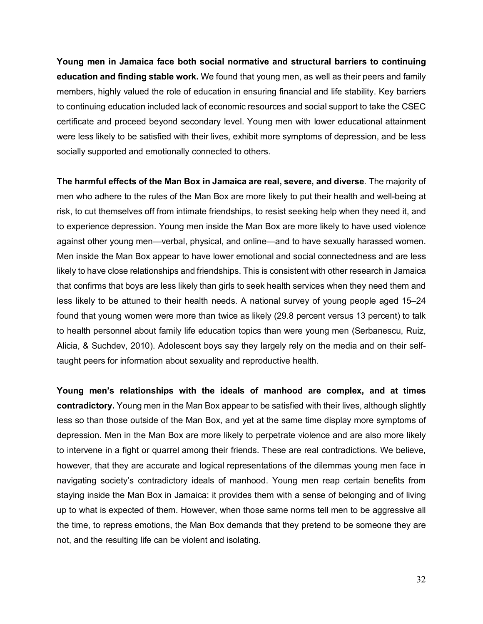**Young men in Jamaica face both social normative and structural barriers to continuing education and finding stable work.** We found that young men, as well as their peers and family members, highly valued the role of education in ensuring financial and life stability. Key barriers to continuing education included lack of economic resources and social support to take the CSEC certificate and proceed beyond secondary level. Young men with lower educational attainment were less likely to be satisfied with their lives, exhibit more symptoms of depression, and be less socially supported and emotionally connected to others.

**The harmful effects of the Man Box in Jamaica are real, severe, and diverse**. The majority of men who adhere to the rules of the Man Box are more likely to put their health and well-being at risk, to cut themselves off from intimate friendships, to resist seeking help when they need it, and to experience depression. Young men inside the Man Box are more likely to have used violence against other young men—verbal, physical, and online—and to have sexually harassed women. Men inside the Man Box appear to have lower emotional and social connectedness and are less likely to have close relationships and friendships. This is consistent with other research in Jamaica that confirms that boys are less likely than girls to seek health services when they need them and less likely to be attuned to their health needs. A national survey of young people aged 15–24 found that young women were more than twice as likely (29.8 percent versus 13 percent) to talk to health personnel about family life education topics than were young men (Serbanescu, Ruiz, Alicia, & Suchdev, 2010). Adolescent boys say they largely rely on the media and on their selftaught peers for information about sexuality and reproductive health.

**Young men's relationships with the ideals of manhood are complex, and at times contradictory.** Young men in the Man Box appear to be satisfied with their lives, although slightly less so than those outside of the Man Box, and yet at the same time display more symptoms of depression. Men in the Man Box are more likely to perpetrate violence and are also more likely to intervene in a fight or quarrel among their friends. These are real contradictions. We believe, however, that they are accurate and logical representations of the dilemmas young men face in navigating society's contradictory ideals of manhood. Young men reap certain benefits from staying inside the Man Box in Jamaica: it provides them with a sense of belonging and of living up to what is expected of them. However, when those same norms tell men to be aggressive all the time, to repress emotions, the Man Box demands that they pretend to be someone they are not, and the resulting life can be violent and isolating.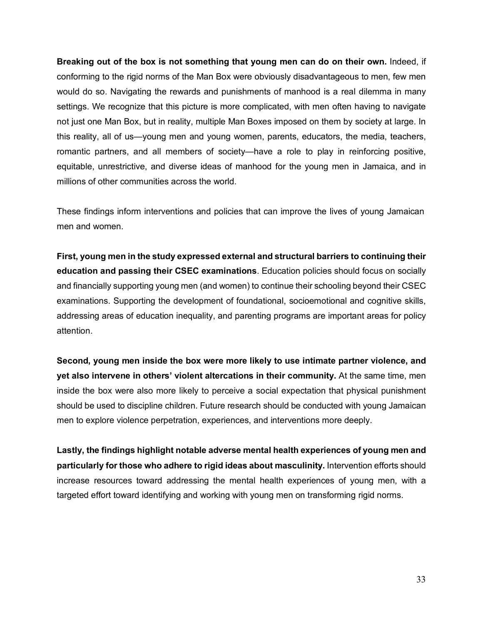**Breaking out of the box is not something that young men can do on their own.** Indeed, if conforming to the rigid norms of the Man Box were obviously disadvantageous to men, few men would do so. Navigating the rewards and punishments of manhood is a real dilemma in many settings. We recognize that this picture is more complicated, with men often having to navigate not just one Man Box, but in reality, multiple Man Boxes imposed on them by society at large. In this reality, all of us—young men and young women, parents, educators, the media, teachers, romantic partners, and all members of society—have a role to play in reinforcing positive, equitable, unrestrictive, and diverse ideas of manhood for the young men in Jamaica, and in millions of other communities across the world.

These findings inform interventions and policies that can improve the lives of young Jamaican men and women.

**First, young men in the study expressed external and structural barriers to continuing their education and passing their CSEC examinations**. Education policies should focus on socially and financially supporting young men (and women) to continue their schooling beyond their CSEC examinations. Supporting the development of foundational, socioemotional and cognitive skills, addressing areas of education inequality, and parenting programs are important areas for policy attention.

**Second, young men inside the box were more likely to use intimate partner violence, and yet also intervene in others' violent altercations in their community.** At the same time, men inside the box were also more likely to perceive a social expectation that physical punishment should be used to discipline children. Future research should be conducted with young Jamaican men to explore violence perpetration, experiences, and interventions more deeply.

**Lastly, the findings highlight notable adverse mental health experiences of young men and particularly for those who adhere to rigid ideas about masculinity.** Intervention efforts should increase resources toward addressing the mental health experiences of young men, with a targeted effort toward identifying and working with young men on transforming rigid norms.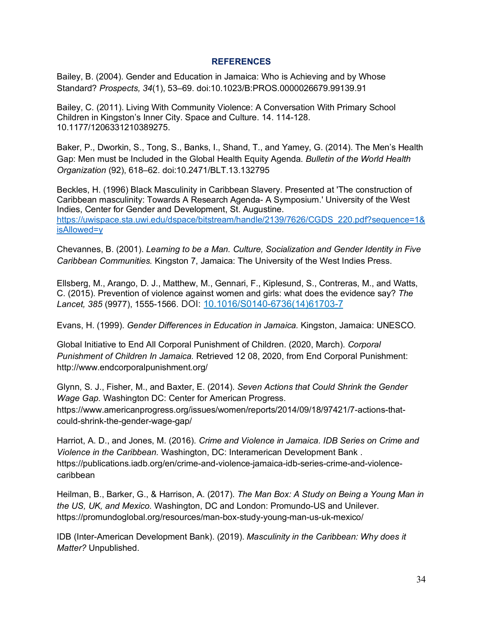#### **REFERENCES**

<span id="page-39-0"></span>Bailey, B. (2004). Gender and Education in Jamaica: Who is Achieving and by Whose Standard? *Prospects, 34*(1), 53–69. doi:10.1023/B:PROS.0000026679.99139.91

Bailey, C. (2011). Living With Community Violence: A Conversation With Primary School Children in Kingston's Inner City. Space and Culture. 14. 114-128. 10.1177/1206331210389275.

Baker, P., Dworkin, S., Tong, S., Banks, I., Shand, T., and Yamey, G. (2014). The Men's Health Gap: Men must be Included in the Global Health Equity Agenda. *Bulletin of the World Health Organization* (92), 618–62. doi:10.2471/BLT.13.132795

Beckles, H. (1996) Black Masculinity in Caribbean Slavery. Presented at 'The construction of Caribbean masculinity: Towards A Research Agenda- A Symposium.' University of the West Indies, Center for Gender and Development, St. Augustine. [https://uwispace.sta.uwi.edu/dspace/bitstream/handle/2139/7626/CGDS\\_220.pdf?sequence=1&](https://uwispace.sta.uwi.edu/dspace/bitstream/handle/2139/7626/CGDS_220.pdf?sequence=1&isAllowed=y) [isAllowed=y](https://uwispace.sta.uwi.edu/dspace/bitstream/handle/2139/7626/CGDS_220.pdf?sequence=1&isAllowed=y)

Chevannes, B. (2001). *Learning to be a Man. Culture, Socialization and Gender Identity in Five Caribbean Communities.* Kingston 7, Jamaica: The University of the West Indies Press.

Ellsberg, M., Arango, D. J., Matthew, M., Gennari, F., Kiplesund, S., Contreras, M., and Watts, C. (2015). Prevention of violence against women and girls: what does the evidence say? *The Lancet, 385* (9977), 1555-1566. DOI: [10.1016/S0140-6736\(14\)61703-7](https://doi.org/10.1016/s0140-6736(14)61703-7)

Evans, H. (1999). *Gender Differences in Education in Jamaica.* Kingston, Jamaica: UNESCO.

Global Initiative to End All Corporal Punishment of Children. (2020, March). *Corporal Punishment of Children In Jamaica.* Retrieved 12 08, 2020, from End Corporal Punishment: http://www.endcorporalpunishment.org/

Glynn, S. J., Fisher, M., and Baxter, E. (2014). *Seven Actions that Could Shrink the Gender Wage Gap.* Washington DC: Center for American Progress. https://www.americanprogress.org/issues/women/reports/2014/09/18/97421/7-actions-thatcould-shrink-the-gender-wage-gap/

Harriot, A. D., and Jones, M. (2016). *Crime and Violence in Jamaica. IDB Series on Crime and Violence in the Caribbean.* Washington, DC: Interamerican Development Bank . https://publications.iadb.org/en/crime-and-violence-jamaica-idb-series-crime-and-violencecaribbean

Heilman, B., Barker, G., & Harrison, A. (2017). *The Man Box: A Study on Being a Young Man in the US, UK, and Mexico.* Washington, DC and London: Promundo-US and Unilever. https://promundoglobal.org/resources/man-box-study-young-man-us-uk-mexico/

IDB (Inter-American Development Bank). (2019). *Masculinity in the Caribbean: Why does it Matter?* Unpublished.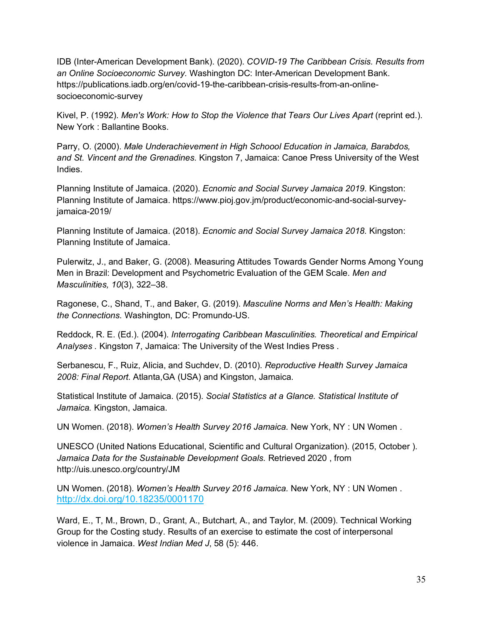IDB (Inter-American Development Bank). (2020). *COVID-19 The Caribbean Crisis. Results from an Online Socioeconomic Survey.* Washington DC: Inter-American Development Bank. https://publications.iadb.org/en/covid-19-the-caribbean-crisis-results-from-an-onlinesocioeconomic-survey

Kivel, P. (1992). *Men's Work: How to Stop the Violence that Tears Our Lives Apart* (reprint ed.). New York : Ballantine Books.

Parry, O. (2000). *Male Underachievement in High Schoool Education in Jamaica, Barabdos, and St. Vincent and the Grenadines.* Kingston 7, Jamaica: Canoe Press University of the West Indies.

Planning Institute of Jamaica. (2020). *Ecnomic and Social Survey Jamaica 2019.* Kingston: Planning Institute of Jamaica. https://www.pioj.gov.jm/product/economic-and-social-surveyjamaica-2019/

Planning Institute of Jamaica. (2018). *Ecnomic and Social Survey Jamaica 2018.* Kingston: Planning Institute of Jamaica.

Pulerwitz, J., and Baker, G. (2008). Measuring Attitudes Towards Gender Norms Among Young Men in Brazil: Development and Psychometric Evaluation of the GEM Scale. *Men and Masculinities, 10*(3), 322–38.

Ragonese, C., Shand, T., and Baker, G. (2019). *Masculine Norms and Men's Health: Making the Connections.* Washington, DC: Promundo-US.

Reddock, R. E. (Ed.). (2004). *Interrogating Caribbean Masculinities. Theoretical and Empirical Analyses .* Kingston 7, Jamaica: The University of the West Indies Press .

Serbanescu, F., Ruiz, Alicia, and Suchdev, D. (2010). *Reproductive Health Survey Jamaica 2008: Final Report.* Atlanta,GA (USA) and Kingston, Jamaica.

Statistical Institute of Jamaica. (2015). *Social Statistics at a Glance. Statistical Institute of Jamaica.* Kingston, Jamaica.

UN Women. (2018). *Women's Health Survey 2016 Jamaica.* New York, NY : UN Women .

UNESCO (United Nations Educational, Scientific and Cultural Organization). (2015, October ). *Jamaica Data for the Sustainable Development Goals.* Retrieved 2020 , from http://uis.unesco.org/country/JM

UN Women. (2018). *Women's Health Survey 2016 Jamaica.* New York, NY : UN Women . <http://dx.doi.org/10.18235/0001170>

Ward, E., T, M., Brown, D., Grant, A., Butchart, A., and Taylor, M. (2009). Technical Working Group for the Costing study. Results of an exercise to estimate the cost of interpersonal violence in Jamaica. *West Indian Med J*, 58 (5): 446.